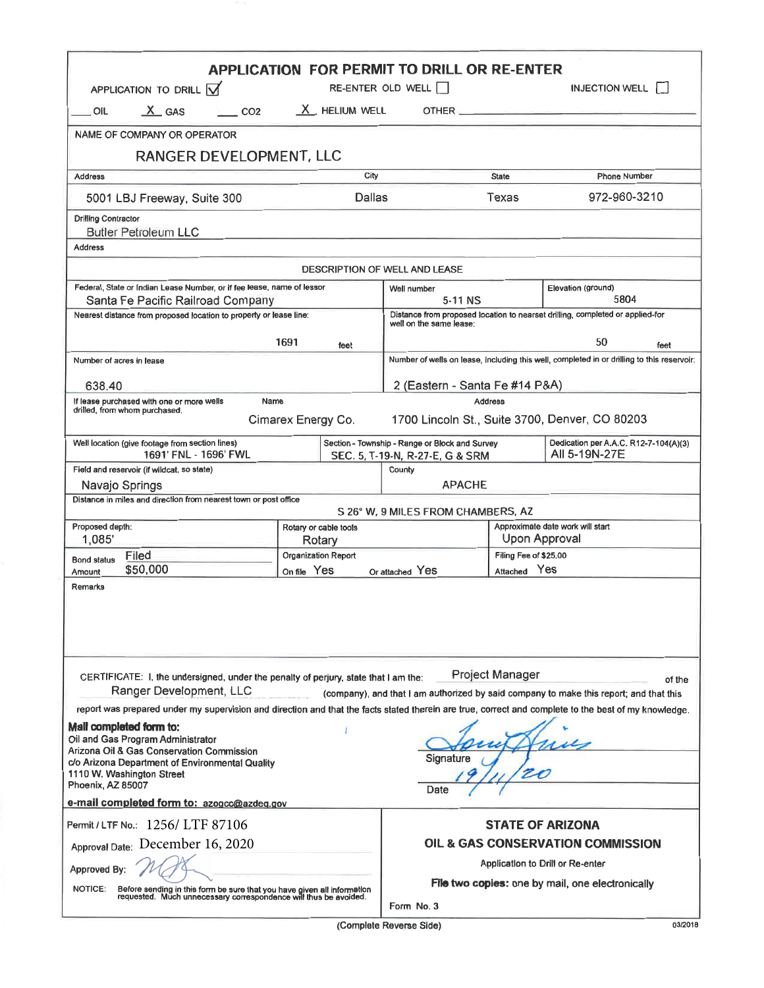| <b>APPLICATION FOR PERMIT TO DRILL OR RE-ENTER</b><br>RE-ENTER OLD WELL<br><b>INJECTION WELL</b><br>APPLICATION TO DRILL $\overline{M}$                                                                                                                                                                                                                                                       |                                                                                                  |                                                                                            |                                                   |                                                        |  |  |  |  |  |  |
|-----------------------------------------------------------------------------------------------------------------------------------------------------------------------------------------------------------------------------------------------------------------------------------------------------------------------------------------------------------------------------------------------|--------------------------------------------------------------------------------------------------|--------------------------------------------------------------------------------------------|---------------------------------------------------|--------------------------------------------------------|--|--|--|--|--|--|
| $X$ GAS<br>CO2<br>OIL                                                                                                                                                                                                                                                                                                                                                                         | $X$ HELIUM WELL                                                                                  | <b>OTHER</b>                                                                               |                                                   |                                                        |  |  |  |  |  |  |
|                                                                                                                                                                                                                                                                                                                                                                                               |                                                                                                  |                                                                                            |                                                   |                                                        |  |  |  |  |  |  |
| NAME OF COMPANY OR OPERATOR                                                                                                                                                                                                                                                                                                                                                                   |                                                                                                  |                                                                                            |                                                   |                                                        |  |  |  |  |  |  |
| RANGER DEVELOPMENT, LLC                                                                                                                                                                                                                                                                                                                                                                       |                                                                                                  |                                                                                            |                                                   |                                                        |  |  |  |  |  |  |
| <b>Address</b>                                                                                                                                                                                                                                                                                                                                                                                | City                                                                                             |                                                                                            | <b>State</b>                                      | <b>Phone Number</b>                                    |  |  |  |  |  |  |
| 5001 LBJ Freeway, Suite 300                                                                                                                                                                                                                                                                                                                                                                   | Dallas                                                                                           |                                                                                            | Texas                                             | 972-960-3210                                           |  |  |  |  |  |  |
| <b>Drilling Contractor</b><br><b>Butler Petroleum LLC</b>                                                                                                                                                                                                                                                                                                                                     |                                                                                                  |                                                                                            |                                                   |                                                        |  |  |  |  |  |  |
| <b>Address</b>                                                                                                                                                                                                                                                                                                                                                                                |                                                                                                  |                                                                                            |                                                   |                                                        |  |  |  |  |  |  |
| <b>DESCRIPTION OF WELL AND LEASE</b>                                                                                                                                                                                                                                                                                                                                                          |                                                                                                  |                                                                                            |                                                   |                                                        |  |  |  |  |  |  |
| Federal, State or Indian Lease Number, or if fee lease, name of lessor                                                                                                                                                                                                                                                                                                                        |                                                                                                  | Well number                                                                                | Elevation (ground)                                |                                                        |  |  |  |  |  |  |
| Santa Fe Pacific Railroad Company<br>Nearest distance from proposed location to property or lease line:                                                                                                                                                                                                                                                                                       | 5804<br>5-11 NS<br>Distance from proposed location to nearset drilling, completed or applied-for |                                                                                            |                                                   |                                                        |  |  |  |  |  |  |
|                                                                                                                                                                                                                                                                                                                                                                                               |                                                                                                  |                                                                                            |                                                   | well on the same lease:                                |  |  |  |  |  |  |
|                                                                                                                                                                                                                                                                                                                                                                                               | 1691<br>feet                                                                                     |                                                                                            |                                                   | 50<br>feet                                             |  |  |  |  |  |  |
| Number of acres in lease                                                                                                                                                                                                                                                                                                                                                                      |                                                                                                  | Number of wells on lease, including this well, completed in or drilling to this reservoir: |                                                   |                                                        |  |  |  |  |  |  |
| 638.40                                                                                                                                                                                                                                                                                                                                                                                        |                                                                                                  | 2 (Eastern - Santa Fe #14 P&A)                                                             |                                                   |                                                        |  |  |  |  |  |  |
| If lease purchased with one or more wells<br>Name<br>drilled, from whom purchased.                                                                                                                                                                                                                                                                                                            |                                                                                                  | <b>Address</b>                                                                             |                                                   |                                                        |  |  |  |  |  |  |
| 1700 Lincoln St., Suite 3700, Denver, CO 80203<br>Cimarex Energy Co.                                                                                                                                                                                                                                                                                                                          |                                                                                                  |                                                                                            |                                                   |                                                        |  |  |  |  |  |  |
| Well location (give footage from section lines)<br>1691' FNL - 1696' FWL                                                                                                                                                                                                                                                                                                                      |                                                                                                  | Section - Township - Range or Block and Survey<br>SEC. 5, T-19-N, R-27-E, G & SRM          |                                                   | Dedication per A.A.C. R12-7-104(A)(3)<br>All 5-19N-27E |  |  |  |  |  |  |
| Field and reservoir (if wildcat, so state)                                                                                                                                                                                                                                                                                                                                                    |                                                                                                  | County                                                                                     |                                                   |                                                        |  |  |  |  |  |  |
| <b>APACHE</b><br>Navajo Springs                                                                                                                                                                                                                                                                                                                                                               |                                                                                                  |                                                                                            |                                                   |                                                        |  |  |  |  |  |  |
| Distance in miles and direction from nearest town or post office<br>S 26° W, 9 MILES FROM CHAMBERS, AZ                                                                                                                                                                                                                                                                                        |                                                                                                  |                                                                                            |                                                   |                                                        |  |  |  |  |  |  |
| Proposed depth:<br>1,085                                                                                                                                                                                                                                                                                                                                                                      | Rotary or cable tools<br>Rotary                                                                  |                                                                                            | Approximate date work will start<br>Upon Approval |                                                        |  |  |  |  |  |  |
| Filed<br><b>Bond status</b>                                                                                                                                                                                                                                                                                                                                                                   | Organization Report                                                                              |                                                                                            | Filing Fee of \$25.00                             |                                                        |  |  |  |  |  |  |
| \$50,000<br>Amount                                                                                                                                                                                                                                                                                                                                                                            | On file Yes                                                                                      | Or attached Yes                                                                            | Attached Yes                                      |                                                        |  |  |  |  |  |  |
| Remarks                                                                                                                                                                                                                                                                                                                                                                                       |                                                                                                  |                                                                                            |                                                   |                                                        |  |  |  |  |  |  |
| Project Manager<br>CERTIFICATE: I, the undersigned, under the penalty of perjury, state that I am the:<br>of the<br>Ranger Development, LLC<br>(company), and that I am authorized by said company to make this report; and that this<br>report was prepared under my supervision and direction and that the facts stated therein are true, correct and complete to the best of my knowledge. |                                                                                                  |                                                                                            |                                                   |                                                        |  |  |  |  |  |  |
| Mall completed form to:<br>Oil and Gas Program Administrator<br>Arizona Oil & Gas Conservation Commission<br>Signature<br>c/o Arizona Department of Environmental Quality<br>1110 W. Washington Street<br>Phoenix, AZ 85007<br>Date                                                                                                                                                           |                                                                                                  |                                                                                            |                                                   |                                                        |  |  |  |  |  |  |
| e-mail completed form to: azogcc@azdeq.gov                                                                                                                                                                                                                                                                                                                                                    |                                                                                                  |                                                                                            |                                                   |                                                        |  |  |  |  |  |  |
| Permit / LTF No.: 1256/ LTF 87106                                                                                                                                                                                                                                                                                                                                                             | <b>STATE OF ARIZONA</b>                                                                          |                                                                                            |                                                   |                                                        |  |  |  |  |  |  |
| Approval Date: December 16, 2020                                                                                                                                                                                                                                                                                                                                                              |                                                                                                  |                                                                                            |                                                   | OIL & GAS CONSERVATION COMMISSION                      |  |  |  |  |  |  |
| Approved By:                                                                                                                                                                                                                                                                                                                                                                                  | Application to Drill or Re-enter                                                                 |                                                                                            |                                                   |                                                        |  |  |  |  |  |  |
| Before sending in this form be sure that you have given all information<br>requested. Much unnecessary correspondence will thus be avoided.<br><b>NOTICE:</b>                                                                                                                                                                                                                                 | File two copies: one by mail, one electronically<br>Form No. 3                                   |                                                                                            |                                                   |                                                        |  |  |  |  |  |  |

(Complete Reverse Side)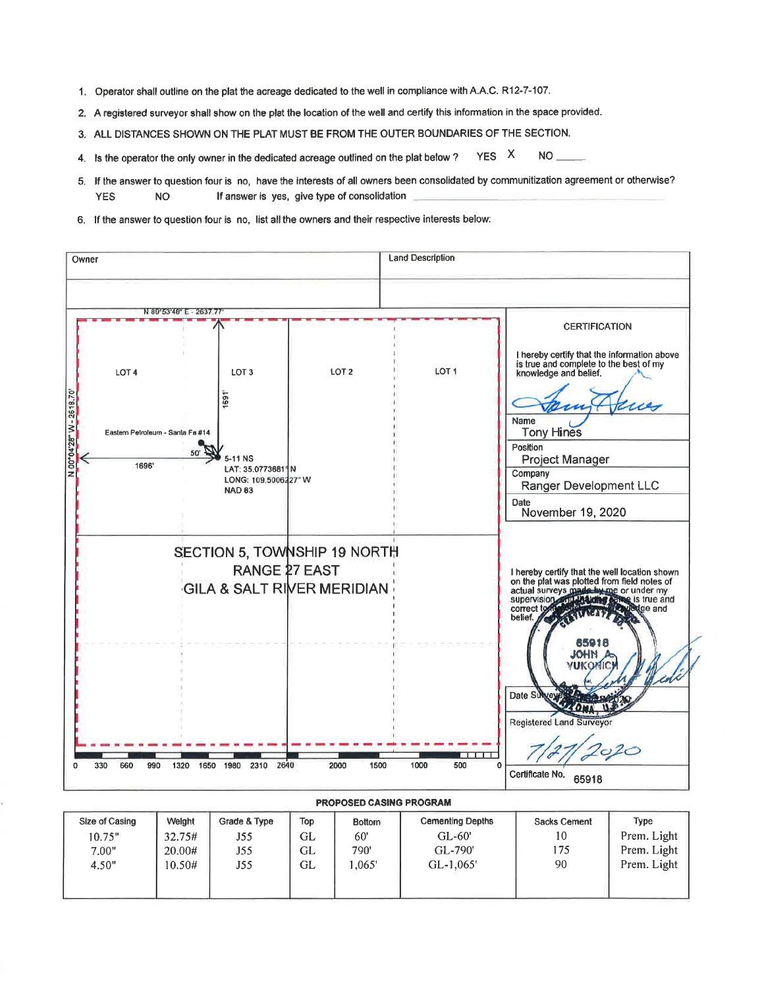- 1. Operator shall outline on the plat the acreage dedicated to the well in compliance with A.A.C. R12-7-107.
- 2. A registered surveyor shall show on the plat the location of the well and certify this information in the space provided.
- 3. ALL DISTANCES SHOWN ON THE PLAT MUST BE FROM THE OUTER BOUNDARIES OF THE SECTION.
- YES<sub>X</sub> **NO** 4. Is the operator the only owner in the dedicated acreage outlined on the plat below ?
- 5. If the answer to question four is no, have the interests of all owners been consolidated by communitization agreement or otherwise? **YES NO** If answer is yes, give type of consolidation
- 6. If the answer to question four is no, list all the owners and their respective interests below:



| Size of Casing | Welght | Grade & Type | Top | <b>Bottom</b> | <b>Cementing Depths</b> | Sacks Cement | Type        |
|----------------|--------|--------------|-----|---------------|-------------------------|--------------|-------------|
| 10.75"         | 32.75# | J55          | GL  | 60'           | $GL-60'$                | 10           | Prem. Light |
| 7.00"          | 20.00# | J55          | GL  | 790'          | GL-790'                 | 175          | Prem. Light |
| 4.50"          | 10.50# | J55          | GL  | .065'         | $GL-1.065'$             | 90           | Prem. Light |
|                |        |              |     |               |                         |              |             |
|                |        |              |     |               |                         |              |             |